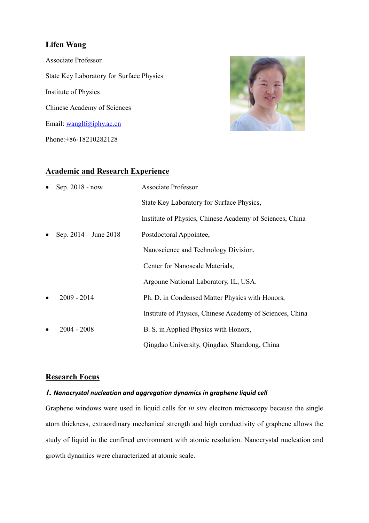## **Lifen Wang**

Associate Professor State Key Laboratory for Surface Physics Institute of Physics Chinese Academy of Sciences Email: [wanglf@iphy.ac.cn](mailto:wanglf@iphy.ac.cn) Phone:+86-18210282128



## **Academic and Research Experience**

| Sep. 2018 - now                        | <b>Associate Professor</b>                               |
|----------------------------------------|----------------------------------------------------------|
|                                        | State Key Laboratory for Surface Physics,                |
|                                        | Institute of Physics, Chinese Academy of Sciences, China |
| Sep. $2014 -$ June $2018$<br>$\bullet$ | Postdoctoral Appointee,                                  |
|                                        | Nanoscience and Technology Division,                     |
|                                        | Center for Nanoscale Materials,                          |
|                                        | Argonne National Laboratory, IL, USA.                    |
| $2009 - 2014$                          | Ph. D. in Condensed Matter Physics with Honors,          |
|                                        | Institute of Physics, Chinese Academy of Sciences, China |
| $2004 - 2008$                          | B. S. in Applied Physics with Honors,                    |
|                                        | Qingdao University, Qingdao, Shandong, China             |

## **Research Focus**

## *1. Nanocrystal nucleation and aggregation dynamics in graphene liquid cell*

Graphene windows were used in liquid cells for *in situ* electron microscopy because the single atom thickness, extraordinary mechanical strength and high conductivity of graphene allows the study of liquid in the confined environment with atomic resolution. Nanocrystal nucleation and growth dynamics were characterized at atomic scale.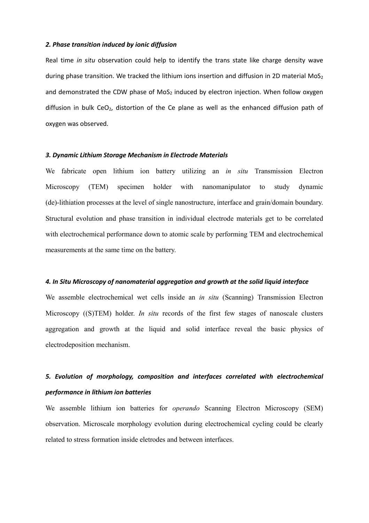#### *2. Phase transition induced by ionic diffusion*

Real time *in situ* observation could help to identify the trans state like charge density wave during phase transition. We tracked the lithium ions insertion and diffusion in 2D material MoS<sub>2</sub> and demonstrated the CDW phase of  $MoS<sub>2</sub>$  induced by electron injection. When follow oxygen diffusion in bulk CeO<sub>2</sub>, distortion of the Ce plane as well as the enhanced diffusion path of oxygen was observed.

#### *3. Dynamic Lithium Storage Mechanism in Electrode Materials*

We fabricate open lithium ion battery utilizing an *in situ* Transmission Electron Microscopy (TEM) specimen holder with nanomanipulator to study dynamic (de)-lithiation processes at the level of single nanostructure, interface and grain/domain boundary. Structural evolution and phase transition in individual electrode materials get to be correlated with electrochemical performance down to atomic scale by performing TEM and electrochemical measurements at the same time on the battery.

#### *4. In Situ Microscopy of nanomaterial aggregation and growth at the solid liquid interface*

We assemble electrochemical wet cells inside an *in situ* (Scanning) Transmission Electron Microscopy ((S)TEM) holder. *In situ* records of the first few stages of nanoscale clusters aggregation and growth at the liquid and solid interface reveal the basic physics of electrodeposition mechanism.

# *5. Evolution of morphology, composition and interfaces correlated with electrochemical performance in lithium ion batteries*

We assemble lithium ion batteries for *operando* Scanning Electron Microscopy (SEM) observation. Microscale morphology evolution during electrochemical cycling could be clearly related to stress formation inside eletrodes and between interfaces.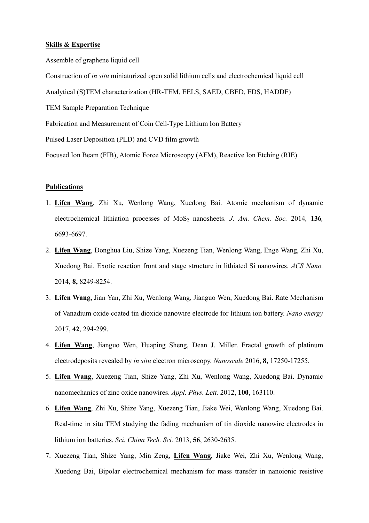#### **Skills & Expertise**

Assemble of graphene liquid cell

Construction of *in situ* miniaturized open solid lithium cells and electrochemical liquid cell

Analytical (S)TEM characterization (HR-TEM, EELS, SAED, CBED, EDS, HADDF)

TEM Sample Preparation Technique

Fabrication and Measurement of Coin Cell-Type Lithium Ion Battery

Pulsed Laser Deposition (PLD) and CVD film growth

Focused Ion Beam (FIB), Atomic Force Microscopy (AFM), Reactive Ion Etching (RIE)

#### **Publications**

- 1. **Lifen Wang**, Zhi Xu, Wenlong Wang, Xuedong Bai. Atomic mechanism of dynamic electrochemical lithiation processes of MoS<sub>2</sub> nanosheets. *J. Am. Chem. Soc.* 2014, **136***,* 6693-6697.
- 2. **Lifen Wang**, Donghua Liu, Shize Yang, Xuezeng Tian, Wenlong Wang, Enge Wang, Zhi Xu, Xuedong Bai. Exotic reaction front and stage structure in lithiated Si nanowires. *ACS Nano.*  2014, **8,** 8249-8254.
- 3. **Lifen Wang,** Jian Yan, Zhi Xu, Wenlong Wang, Jianguo Wen, Xuedong Bai. Rate Mechanism of Vanadium oxide coated tin dioxide nanowire electrode for lithium ion battery. *Nano energy* 2017, **42**, 294-299.
- 4. **Lifen Wang**, Jianguo Wen, Huaping Sheng, Dean J. Miller. Fractal growth of platinum electrodeposits revealed by *in situ* electron microscopy. *Nanoscale* 2016, **8,** 17250-17255.
- 5. **Lifen Wang**, Xuezeng Tian, Shize Yang, Zhi Xu, Wenlong Wang, Xuedong Bai. Dynamic nanomechanics of zinc oxide nanowires. *Appl. Phys. Lett.* 2012, **100**, 163110.
- 6. **Lifen Wang**, Zhi Xu, Shize Yang, Xuezeng Tian, Jiake Wei, Wenlong Wang, Xuedong Bai. Real-time in situ TEM studying the fading mechanism of tin dioxide nanowire electrodes in lithium ion batteries. *Sci. China Tech. Sci.* 2013, **56**, 2630-2635.
- 7. Xuezeng Tian, Shize Yang, Min Zeng, **Lifen Wang**, Jiake Wei, Zhi Xu, Wenlong Wang, Xuedong Bai, Bipolar electrochemical mechanism for mass transfer in nanoionic resistive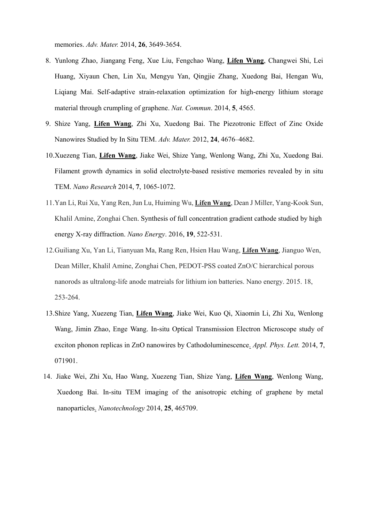memories. *Adv. Mater.* 2014, **26**, 3649-3654.

- 8. Yunlong Zhao, Jiangang Feng, Xue Liu, Fengchao Wang, **Lifen Wang**, Changwei Shi, Lei Huang, Xiyaun Chen, Lin Xu, Mengyu Yan, Qingjie Zhang, Xuedong Bai, Hengan Wu, Liqiang Mai. Self-adaptive strain-relaxation optimization for high-energy lithium storage material through crumpling of graphene. *Nat. Commun*. 2014, **5**, 4565.
- 9. Shize Yang, **Lifen Wang**, Zhi Xu, Xuedong Bai. The Piezotronic Effect of Zinc Oxide Nanowires Studied by In Situ TEM. *Adv. Mater.* 2012, **24**, 4676–4682.
- 10.Xuezeng Tian, **Lifen Wang**, Jiake Wei, Shize Yang, Wenlong Wang, Zhi Xu, Xuedong Bai. Filament growth dynamics in solid electrolyte-based resistive memories revealed by in situ TEM. *Nano Research* 2014, **7**, 1065-1072.
- 11.Yan Li, Rui Xu, Yang Ren, Jun Lu, Huiming Wu, **Lifen Wang**, Dean J Miller, Yang-Kook Sun, Khalil Amine, Zonghai Chen. [Synthesis of full concentration gradient cathode studied by high](http://www.sciencedirect.com/science/article/pii/S2211285515003122)  [energy X-ray diffraction.](http://www.sciencedirect.com/science/article/pii/S2211285515003122) *Nano Energy*. 2016, **19**, 522-531.
- 12.Guiliang Xu, Yan Li, Tianyuan Ma, Rang Ren, Hsien Hau Wang, **Lifen Wang**, Jianguo Wen, Dean Miller, Khalil Amine, Zonghai Chen, PEDOT-PSS coated ZnO/C hierarchical porous nanorods as ultralong-life anode matreials for lithium ion batteries. Nano energy. 2015. 18, 253-264.
- 13.Shize Yang, Xuezeng Tian, **Lifen Wang**, Jiake Wei, Kuo Qi, Xiaomin Li, Zhi Xu, Wenlong Wang, Jimin Zhao, Enge Wang. In-situ Optical Transmission Electron Microscope study of exciton phonon replicas in ZnO nanowires by Cathodoluminescence. *Appl. Phys. Lett.* 2014, **7**, 071901.
- 14. Jiake Wei, Zhi Xu, Hao Wang, Xuezeng Tian, Shize Yang, **Lifen Wang**, Wenlong Wang, Xuedong Bai. In-situ TEM imaging of the anisotropic etching of graphene by metal nanoparticles. *Nanotechnology* 2014, **25**, 465709.